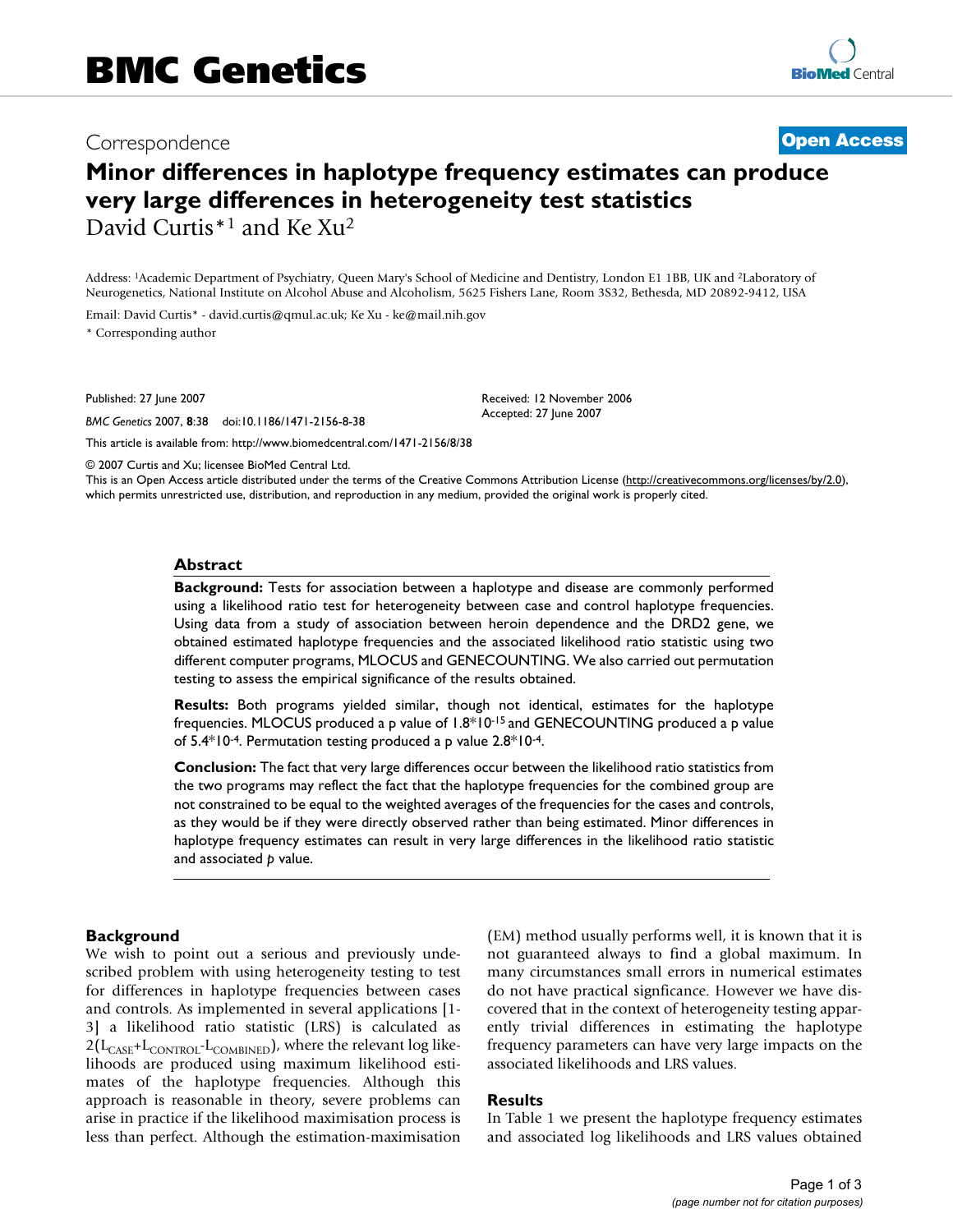# Correspondence **[Open Access](http://www.biomedcentral.com/info/about/charter/)**

# **Minor differences in haplotype frequency estimates can produce very large differences in heterogeneity test statistics** David Curtis\*1 and Ke Xu2

Address: 1Academic Department of Psychiatry, Queen Mary's School of Medicine and Dentistry, London E1 1BB, UK and 2Laboratory of Neurogenetics, National Institute on Alcohol Abuse and Alcoholism, 5625 Fishers Lane, Room 3S32, Bethesda, MD 20892-9412, USA

Email: David Curtis\* - david.curtis@qmul.ac.uk; Ke Xu - ke@mail.nih.gov \* Corresponding author

Published: 27 June 2007

*BMC Genetics* 2007, **8**:38 doi:10.1186/1471-2156-8-38

[This article is available from: http://www.biomedcentral.com/1471-2156/8/38](http://www.biomedcentral.com/1471-2156/8/38)

© 2007 Curtis and Xu; licensee BioMed Central Ltd.

This is an Open Access article distributed under the terms of the Creative Commons Attribution License [\(http://creativecommons.org/licenses/by/2.0\)](http://creativecommons.org/licenses/by/2.0), which permits unrestricted use, distribution, and reproduction in any medium, provided the original work is properly cited.

Received: 12 November 2006 Accepted: 27 June 2007

#### **Abstract**

**Background:** Tests for association between a haplotype and disease are commonly performed using a likelihood ratio test for heterogeneity between case and control haplotype frequencies. Using data from a study of association between heroin dependence and the DRD2 gene, we obtained estimated haplotype frequencies and the associated likelihood ratio statistic using two different computer programs, MLOCUS and GENECOUNTING. We also carried out permutation testing to assess the empirical significance of the results obtained.

**Results:** Both programs yielded similar, though not identical, estimates for the haplotype frequencies. MLOCUS produced a p value of 1.8\*10-15 and GENECOUNTING produced a p value of 5.4\*10-4. Permutation testing produced a p value 2.8\*10-4.

**Conclusion:** The fact that very large differences occur between the likelihood ratio statistics from the two programs may reflect the fact that the haplotype frequencies for the combined group are not constrained to be equal to the weighted averages of the frequencies for the cases and controls, as they would be if they were directly observed rather than being estimated. Minor differences in haplotype frequency estimates can result in very large differences in the likelihood ratio statistic and associated *p* value.

#### **Background**

We wish to point out a serious and previously undescribed problem with using heterogeneity testing to test for differences in haplotype frequencies between cases and controls. As implemented in several applications [1- 3] a likelihood ratio statistic (LRS) is calculated as  $2(\rm L_{CASE}+\rm L_{CONTROL}\mbox{-}L_{COMBINED})$  , where the relevant log likelihoods are produced using maximum likelihood estimates of the haplotype frequencies. Although this approach is reasonable in theory, severe problems can arise in practice if the likelihood maximisation process is less than perfect. Although the estimation-maximisation (EM) method usually performs well, it is known that it is not guaranteed always to find a global maximum. In many circumstances small errors in numerical estimates do not have practical signficance. However we have discovered that in the context of heterogeneity testing apparently trivial differences in estimating the haplotype frequency parameters can have very large impacts on the associated likelihoods and LRS values.

#### **Results**

In Table 1 we present the haplotype frequency estimates and associated log likelihoods and LRS values obtained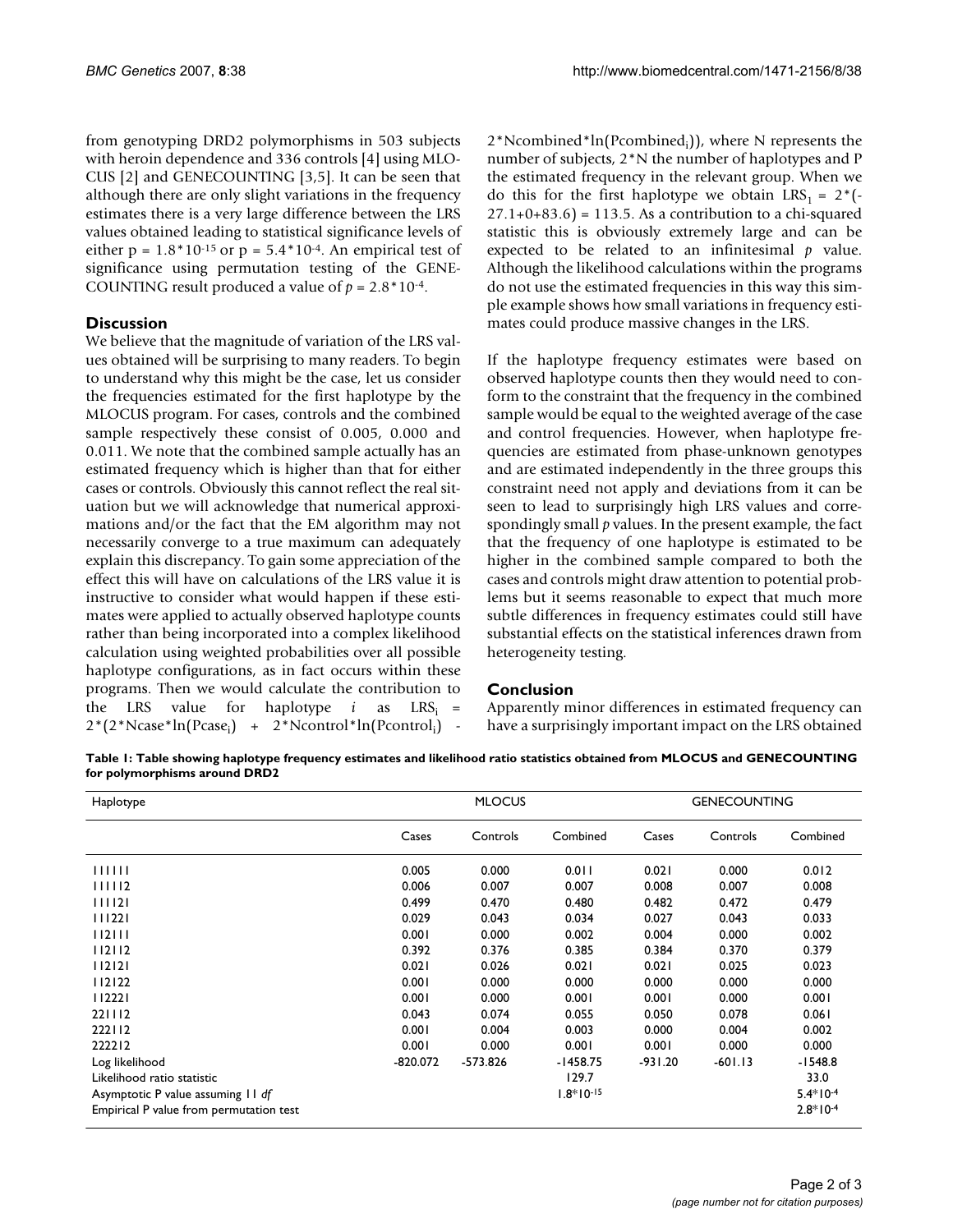from genotyping DRD2 polymorphisms in 503 subjects with heroin dependence and 336 controls [4] using MLO-CUS [2] and GENECOUNTING [3,5]. It can be seen that although there are only slight variations in the frequency estimates there is a very large difference between the LRS values obtained leading to statistical significance levels of either  $p = 1.8 * 10^{-15}$  or  $p = 5.4 * 10^{-4}$ . An empirical test of significance using permutation testing of the GENE-COUNTING result produced a value of  $p = 2.8 * 10^{-4}$ .

## **Discussion**

We believe that the magnitude of variation of the LRS values obtained will be surprising to many readers. To begin to understand why this might be the case, let us consider the frequencies estimated for the first haplotype by the MLOCUS program. For cases, controls and the combined sample respectively these consist of 0.005, 0.000 and 0.011. We note that the combined sample actually has an estimated frequency which is higher than that for either cases or controls. Obviously this cannot reflect the real situation but we will acknowledge that numerical approximations and/or the fact that the EM algorithm may not necessarily converge to a true maximum can adequately explain this discrepancy. To gain some appreciation of the effect this will have on calculations of the LRS value it is instructive to consider what would happen if these estimates were applied to actually observed haplotype counts rather than being incorporated into a complex likelihood calculation using weighted probabilities over all possible haplotype configurations, as in fact occurs within these programs. Then we would calculate the contribution to the LRS value for haplotype  $i$  as LRS<sub>i</sub> = 2\*(2\*Ncase\*ln(Pcase<sub>i</sub>) + 2\*Ncontrol\*ln(Pcontrol<sub>i</sub>) -

2\*Ncombined\*ln(Pcombined<sub>i</sub>)), where N represents the number of subjects, 2\*N the number of haplotypes and P the estimated frequency in the relevant group. When we do this for the first haplotype we obtain LRS<sub>1</sub> = 2<sup>\*</sup>(- $27.1+0+83.6$  = 113.5. As a contribution to a chi-squared statistic this is obviously extremely large and can be expected to be related to an infinitesimal *p* value. Although the likelihood calculations within the programs do not use the estimated frequencies in this way this simple example shows how small variations in frequency estimates could produce massive changes in the LRS.

If the haplotype frequency estimates were based on observed haplotype counts then they would need to conform to the constraint that the frequency in the combined sample would be equal to the weighted average of the case and control frequencies. However, when haplotype frequencies are estimated from phase-unknown genotypes and are estimated independently in the three groups this constraint need not apply and deviations from it can be seen to lead to surprisingly high LRS values and correspondingly small *p* values. In the present example, the fact that the frequency of one haplotype is estimated to be higher in the combined sample compared to both the cases and controls might draw attention to potential problems but it seems reasonable to expect that much more subtle differences in frequency estimates could still have substantial effects on the statistical inferences drawn from heterogeneity testing.

#### **Conclusion**

Apparently minor differences in estimated frequency can have a surprisingly important impact on the LRS obtained

**Table 1: Table showing haplotype frequency estimates and likelihood ratio statistics obtained from MLOCUS and GENECOUNTING for polymorphisms around DRD2**

| Haplotype                               | <b>MLOCUS</b> |          |             | <b>GENECOUNTING</b> |          |            |
|-----------------------------------------|---------------|----------|-------------|---------------------|----------|------------|
|                                         | Cases         | Controls | Combined    | Cases               | Controls | Combined   |
| 111111                                  | 0.005         | 0.000    | 0.011       | 0.021               | 0.000    | 0.012      |
| 111112                                  | 0.006         | 0.007    | 0.007       | 0.008               | 0.007    | 0.008      |
| 111121                                  | 0.499         | 0.470    | 0.480       | 0.482               | 0.472    | 0.479      |
| 111221                                  | 0.029         | 0.043    | 0.034       | 0.027               | 0.043    | 0.033      |
| 112111                                  | 0.001         | 0.000    | 0.002       | 0.004               | 0.000    | 0.002      |
| 112112                                  | 0.392         | 0.376    | 0.385       | 0.384               | 0.370    | 0.379      |
| 112121                                  | 0.021         | 0.026    | 0.021       | 0.021               | 0.025    | 0.023      |
| 112122                                  | 0.001         | 0.000    | 0.000       | 0.000               | 0.000    | 0.000      |
| 112221                                  | 0.001         | 0.000    | 0.001       | 0.001               | 0.000    | 0.001      |
| 221112                                  | 0.043         | 0.074    | 0.055       | 0.050               | 0.078    | 0.061      |
| 222112                                  | 0.001         | 0.004    | 0.003       | 0.000               | 0.004    | 0.002      |
| 222212                                  | 0.001         | 0.000    | 0.001       | 0.001               | 0.000    | 0.000      |
| Log likelihood                          | $-820.072$    | -573.826 | $-1458.75$  | -931.20             | -601.13  | $-1548.8$  |
| Likelihood ratio statistic              |               |          | 129.7       |                     |          | 33.0       |
| Asymptotic P value assuming 11 df       |               |          | $1.8*10-15$ |                     |          | $5.4*10-4$ |
| Empirical P value from permutation test |               |          |             |                     |          | $2.8*10-4$ |